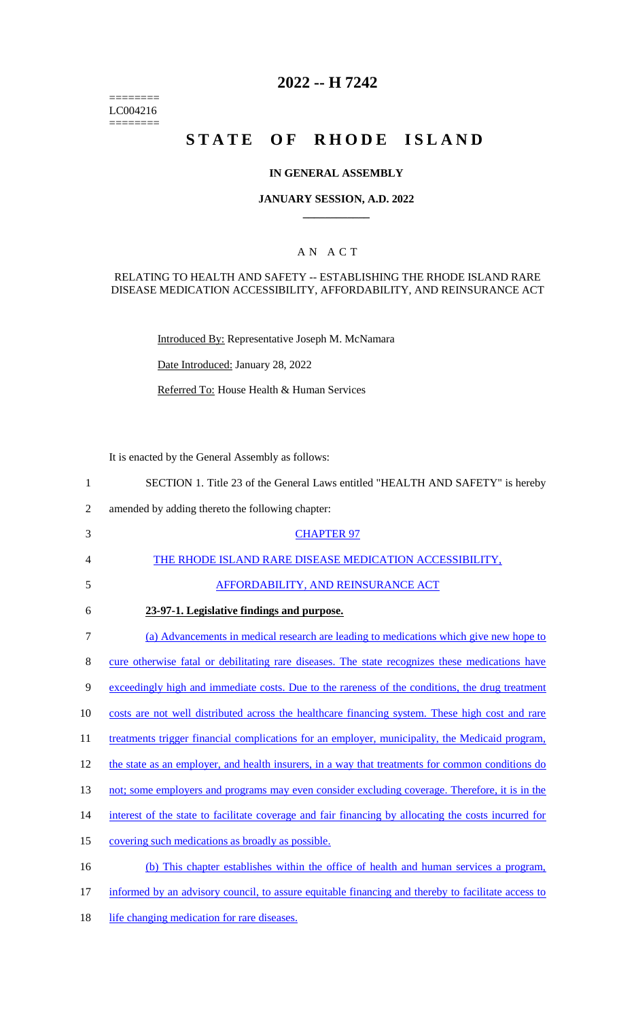======== LC004216  $=$ 

# **2022 -- H 7242**

# **STATE OF RHODE ISLAND**

## **IN GENERAL ASSEMBLY**

## **JANUARY SESSION, A.D. 2022 \_\_\_\_\_\_\_\_\_\_\_\_**

## A N A C T

## RELATING TO HEALTH AND SAFETY -- ESTABLISHING THE RHODE ISLAND RARE DISEASE MEDICATION ACCESSIBILITY, AFFORDABILITY, AND REINSURANCE ACT

Introduced By: Representative Joseph M. McNamara

Date Introduced: January 28, 2022

Referred To: House Health & Human Services

It is enacted by the General Assembly as follows:

| $\mathbf{1}$   | SECTION 1. Title 23 of the General Laws entitled "HEALTH AND SAFETY" is hereby                       |
|----------------|------------------------------------------------------------------------------------------------------|
| $\overline{2}$ | amended by adding thereto the following chapter:                                                     |
| 3              | <b>CHAPTER 97</b>                                                                                    |
| 4              | THE RHODE ISLAND RARE DISEASE MEDICATION ACCESSIBILITY,                                              |
| 5              | <b>AFFORDABILITY, AND REINSURANCE ACT</b>                                                            |
| 6              | 23-97-1. Legislative findings and purpose.                                                           |
| 7              | (a) Advancements in medical research are leading to medications which give new hope to               |
| 8              | cure otherwise fatal or debilitating rare diseases. The state recognizes these medications have      |
| 9              | exceedingly high and immediate costs. Due to the rareness of the conditions, the drug treatment      |
| 10             | costs are not well distributed across the healthcare financing system. These high cost and rare      |
| 11             | treatments trigger financial complications for an employer, municipality, the Medicaid program,      |
| 12             | the state as an employer, and health insurers, in a way that treatments for common conditions do     |
| 13             | not; some employers and programs may even consider excluding coverage. Therefore, it is in the       |
| 14             | interest of the state to facilitate coverage and fair financing by allocating the costs incurred for |
| 15             | covering such medications as broadly as possible.                                                    |
| 16             | (b) This chapter establishes within the office of health and human services a program,               |
| 17             | informed by an advisory council, to assure equitable financing and thereby to facilitate access to   |
| 18             | life changing medication for rare diseases.                                                          |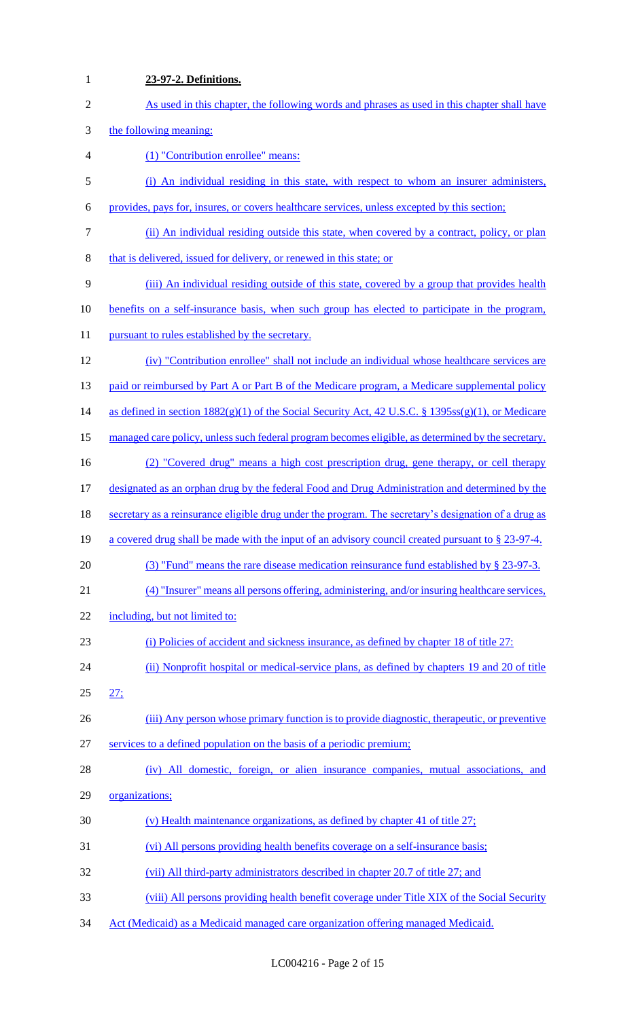| $\mathbf{1}$             | 23-97-2. Definitions.                                                                                |
|--------------------------|------------------------------------------------------------------------------------------------------|
| $\sqrt{2}$               | As used in this chapter, the following words and phrases as used in this chapter shall have          |
| 3                        | the following meaning:                                                                               |
| $\overline{\mathcal{A}}$ | (1) "Contribution enrollee" means:                                                                   |
| $\mathfrak s$            | (i) An individual residing in this state, with respect to whom an insurer administers,               |
| 6                        | provides, pays for, insures, or covers healthcare services, unless excepted by this section;         |
| 7                        | (ii) An individual residing outside this state, when covered by a contract, policy, or plan          |
| $8\,$                    | that is delivered, issued for delivery, or renewed in this state; or                                 |
| 9                        | (iii) An individual residing outside of this state, covered by a group that provides health          |
| 10                       | benefits on a self-insurance basis, when such group has elected to participate in the program,       |
| 11                       | pursuant to rules established by the secretary.                                                      |
| 12                       | (iv) "Contribution enrollee" shall not include an individual whose healthcare services are           |
| 13                       | paid or reimbursed by Part A or Part B of the Medicare program, a Medicare supplemental policy       |
| 14                       | as defined in section $1882(g)(1)$ of the Social Security Act, 42 U.S.C. § 1395ss(g)(1), or Medicare |
| 15                       | managed care policy, unless such federal program becomes eligible, as determined by the secretary.   |
| 16                       | (2) "Covered drug" means a high cost prescription drug, gene therapy, or cell therapy                |
| 17                       | designated as an orphan drug by the federal Food and Drug Administration and determined by the       |
| 18                       | secretary as a reinsurance eligible drug under the program. The secretary's designation of a drug as |
| 19                       | a covered drug shall be made with the input of an advisory council created pursuant to § 23-97-4.    |
| 20                       | (3) "Fund" means the rare disease medication reinsurance fund established by $\S$ 23-97-3.           |
| 21                       | (4) "Insurer" means all persons offering, administering, and/or insuring healthcare services,        |
| 22                       | including, but not limited to:                                                                       |
| 23                       | (i) Policies of accident and sickness insurance, as defined by chapter 18 of title 27:               |
| 24                       | (ii) Nonprofit hospital or medical-service plans, as defined by chapters 19 and 20 of title          |
| 25                       | 27:                                                                                                  |
| 26                       | (iii) Any person whose primary function is to provide diagnostic, therapeutic, or preventive         |
| 27                       | services to a defined population on the basis of a periodic premium;                                 |
| 28                       | (iv) All domestic, foreign, or alien insurance companies, mutual associations, and                   |
| 29                       | organizations;                                                                                       |
| 30                       | (v) Health maintenance organizations, as defined by chapter 41 of title 27;                          |
| 31                       | (vi) All persons providing health benefits coverage on a self-insurance basis;                       |
| 32                       | (vii) All third-party administrators described in chapter 20.7 of title 27; and                      |
| 33                       | (viii) All persons providing health benefit coverage under Title XIX of the Social Security          |
| 34                       | Act (Medicaid) as a Medicaid managed care organization offering managed Medicaid.                    |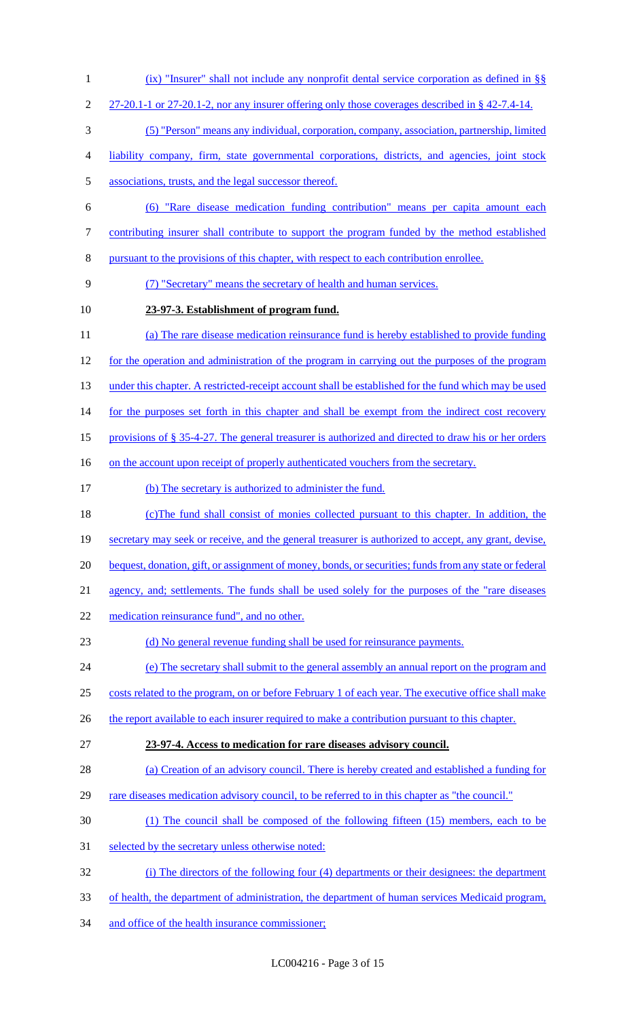- (ix) "Insurer" shall not include any nonprofit dental service corporation as defined in §§
- 2 27-20.1-1 or 27-20.1-2, nor any insurer offering only those coverages described in § 42-7.4-14.
- (5) "Person" means any individual, corporation, company, association, partnership, limited
- liability company, firm, state governmental corporations, districts, and agencies, joint stock
- associations, trusts, and the legal successor thereof.
- (6) "Rare disease medication funding contribution" means per capita amount each
- contributing insurer shall contribute to support the program funded by the method established
- pursuant to the provisions of this chapter, with respect to each contribution enrollee.
- (7) "Secretary" means the secretary of health and human services.
- **23-97-3. Establishment of program fund.**
- (a) The rare disease medication reinsurance fund is hereby established to provide funding for the operation and administration of the program in carrying out the purposes of the program 13 under this chapter. A restricted-receipt account shall be established for the fund which may be used 14 for the purposes set forth in this chapter and shall be exempt from the indirect cost recovery
- provisions of § 35-4-27. The general treasurer is authorized and directed to draw his or her orders
- 16 on the account upon receipt of properly authenticated vouchers from the secretary.
- (b) The secretary is authorized to administer the fund.
- (c)The fund shall consist of monies collected pursuant to this chapter. In addition, the secretary may seek or receive, and the general treasurer is authorized to accept, any grant, devise,
- 20 bequest, donation, gift, or assignment of money, bonds, or securities; funds from any state or federal
- agency, and; settlements. The funds shall be used solely for the purposes of the "rare diseases
- 22 medication reinsurance fund", and no other.
- (d) No general revenue funding shall be used for reinsurance payments.
- (e) The secretary shall submit to the general assembly an annual report on the program and
- costs related to the program, on or before February 1 of each year. The executive office shall make
- 26 the report available to each insurer required to make a contribution pursuant to this chapter.
- **23-97-4. Access to medication for rare diseases advisory council.**
- 28 (a) Creation of an advisory council. There is hereby created and established a funding for
- 29 rare diseases medication advisory council, to be referred to in this chapter as "the council."
- (1) The council shall be composed of the following fifteen (15) members, each to be
- 31 selected by the secretary unless otherwise noted:
- (i) The directors of the following four (4) departments or their designees: the department
- of health, the department of administration, the department of human services Medicaid program,
- 34 and office of the health insurance commissioner;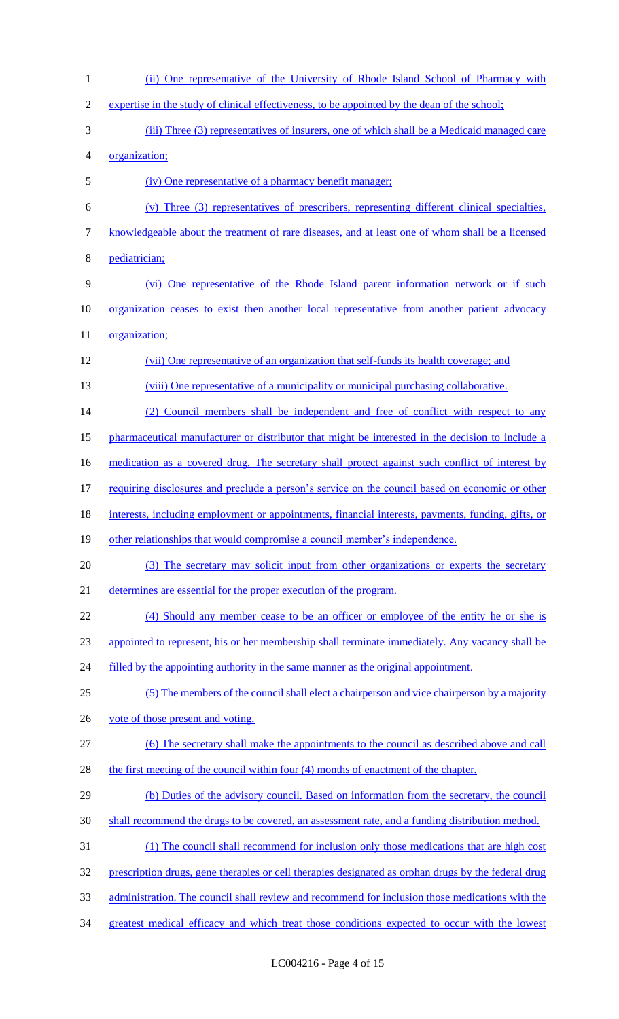(ii) One representative of the University of Rhode Island School of Pharmacy with expertise in the study of clinical effectiveness, to be appointed by the dean of the school; (iii) Three (3) representatives of insurers, one of which shall be a Medicaid managed care organization; (iv) One representative of a pharmacy benefit manager; (v) Three (3) representatives of prescribers, representing different clinical specialties, knowledgeable about the treatment of rare diseases, and at least one of whom shall be a licensed pediatrician; (vi) One representative of the Rhode Island parent information network or if such organization ceases to exist then another local representative from another patient advocacy 11 organization; (vii) One representative of an organization that self-funds its health coverage; and 13 (viii) One representative of a municipality or municipal purchasing collaborative. (2) Council members shall be independent and free of conflict with respect to any pharmaceutical manufacturer or distributor that might be interested in the decision to include a 16 medication as a covered drug. The secretary shall protect against such conflict of interest by 17 requiring disclosures and preclude a person's service on the council based on economic or other interests, including employment or appointments, financial interests, payments, funding, gifts, or other relationships that would compromise a council member's independence. 20 (3) The secretary may solicit input from other organizations or experts the secretary determines are essential for the proper execution of the program. (4) Should any member cease to be an officer or employee of the entity he or she is appointed to represent, his or her membership shall terminate immediately. Any vacancy shall be 24 filled by the appointing authority in the same manner as the original appointment. (5) The members of the council shall elect a chairperson and vice chairperson by a majority 26 vote of those present and voting. (6) The secretary shall make the appointments to the council as described above and call 28 the first meeting of the council within four (4) months of enactment of the chapter. (b) Duties of the advisory council. Based on information from the secretary, the council shall recommend the drugs to be covered, an assessment rate, and a funding distribution method. (1) The council shall recommend for inclusion only those medications that are high cost prescription drugs, gene therapies or cell therapies designated as orphan drugs by the federal drug administration. The council shall review and recommend for inclusion those medications with the greatest medical efficacy and which treat those conditions expected to occur with the lowest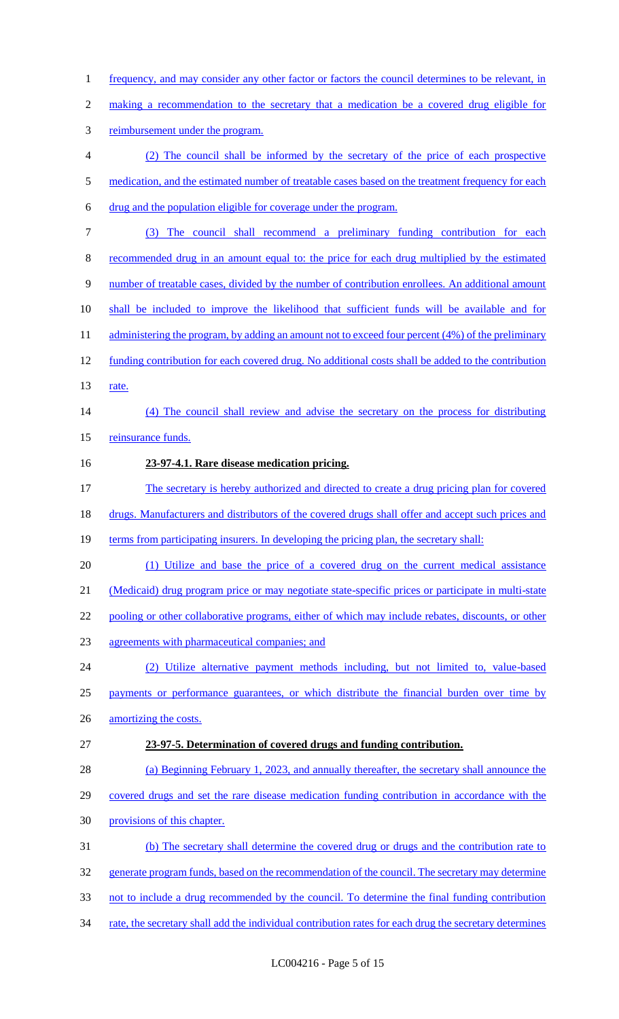1 frequency, and may consider any other factor or factors the council determines to be relevant, in making a recommendation to the secretary that a medication be a covered drug eligible for reimbursement under the program. (2) The council shall be informed by the secretary of the price of each prospective 5 medication, and the estimated number of treatable cases based on the treatment frequency for each drug and the population eligible for coverage under the program. (3) The council shall recommend a preliminary funding contribution for each recommended drug in an amount equal to: the price for each drug multiplied by the estimated number of treatable cases, divided by the number of contribution enrollees. An additional amount shall be included to improve the likelihood that sufficient funds will be available and for 11 administering the program, by adding an amount not to exceed four percent (4%) of the preliminary funding contribution for each covered drug. No additional costs shall be added to the contribution 13 <u>rate.</u> (4) The council shall review and advise the secretary on the process for distributing 15 reinsurance funds. **23-97-4.1. Rare disease medication pricing.**  The secretary is hereby authorized and directed to create a drug pricing plan for covered 18 drugs. Manufacturers and distributors of the covered drugs shall offer and accept such prices and 19 terms from participating insurers. In developing the pricing plan, the secretary shall: (1) Utilize and base the price of a covered drug on the current medical assistance (Medicaid) drug program price or may negotiate state-specific prices or participate in multi-state 22 pooling or other collaborative programs, either of which may include rebates, discounts, or other agreements with pharmaceutical companies; and (2) Utilize alternative payment methods including, but not limited to, value-based 25 payments or performance guarantees, or which distribute the financial burden over time by 26 amortizing the costs. **23-97-5. Determination of covered drugs and funding contribution.**  (a) Beginning February 1, 2023, and annually thereafter, the secretary shall announce the covered drugs and set the rare disease medication funding contribution in accordance with the provisions of this chapter. (b) The secretary shall determine the covered drug or drugs and the contribution rate to 32 generate program funds, based on the recommendation of the council. The secretary may determine not to include a drug recommended by the council. To determine the final funding contribution 34 rate, the secretary shall add the individual contribution rates for each drug the secretary determines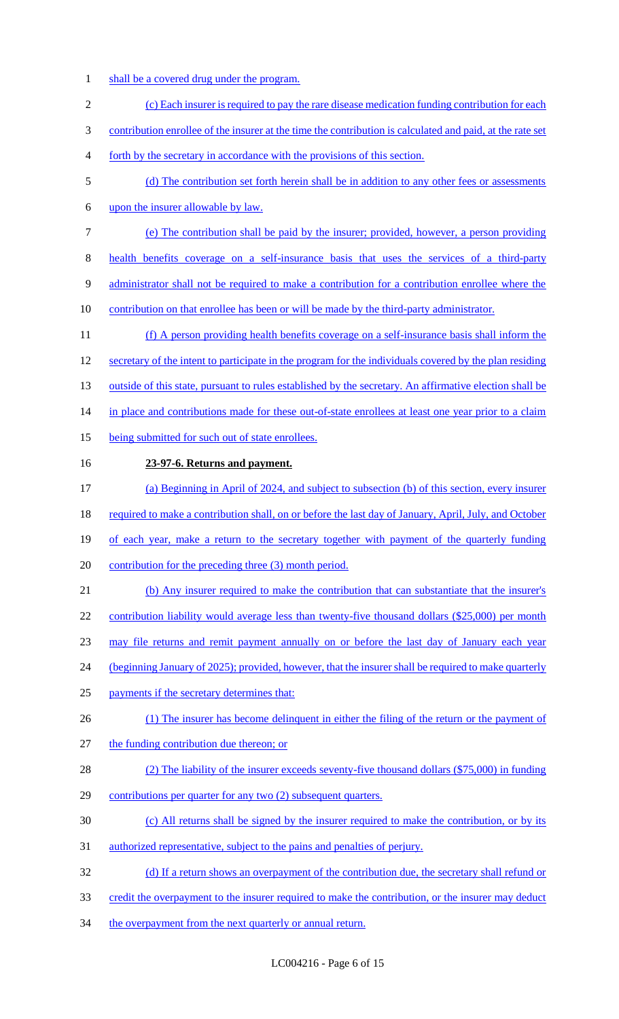- shall be a covered drug under the program.
- (c) Each insurer is required to pay the rare disease medication funding contribution for each contribution enrollee of the insurer at the time the contribution is calculated and paid, at the rate set forth by the secretary in accordance with the provisions of this section. (d) The contribution set forth herein shall be in addition to any other fees or assessments upon the insurer allowable by law. (e) The contribution shall be paid by the insurer; provided, however, a person providing health benefits coverage on a self-insurance basis that uses the services of a third-party administrator shall not be required to make a contribution for a contribution enrollee where the 10 contribution on that enrollee has been or will be made by the third-party administrator. (f) A person providing health benefits coverage on a self-insurance basis shall inform the secretary of the intent to participate in the program for the individuals covered by the plan residing 13 outside of this state, pursuant to rules established by the secretary. An affirmative election shall be 14 in place and contributions made for these out-of-state enrollees at least one year prior to a claim 15 being submitted for such out of state enrollees. **23-97-6. Returns and payment.**  (a) Beginning in April of 2024, and subject to subsection (b) of this section, every insurer 18 required to make a contribution shall, on or before the last day of January, April, July, and October 19 of each year, make a return to the secretary together with payment of the quarterly funding contribution for the preceding three (3) month period. (b) Any insurer required to make the contribution that can substantiate that the insurer's 22 contribution liability would average less than twenty-five thousand dollars (\$25,000) per month may file returns and remit payment annually on or before the last day of January each year (beginning January of 2025); provided, however, that the insurer shall be required to make quarterly payments if the secretary determines that: 26 (1) The insurer has become delinquent in either the filing of the return or the payment of 27 the funding contribution due thereon; or (2) The liability of the insurer exceeds seventy-five thousand dollars (\$75,000) in funding contributions per quarter for any two (2) subsequent quarters. (c) All returns shall be signed by the insurer required to make the contribution, or by its authorized representative, subject to the pains and penalties of perjury. 32 (d) If a return shows an overpayment of the contribution due, the secretary shall refund or 33 credit the overpayment to the insurer required to make the contribution, or the insurer may deduct
- 34 the overpayment from the next quarterly or annual return.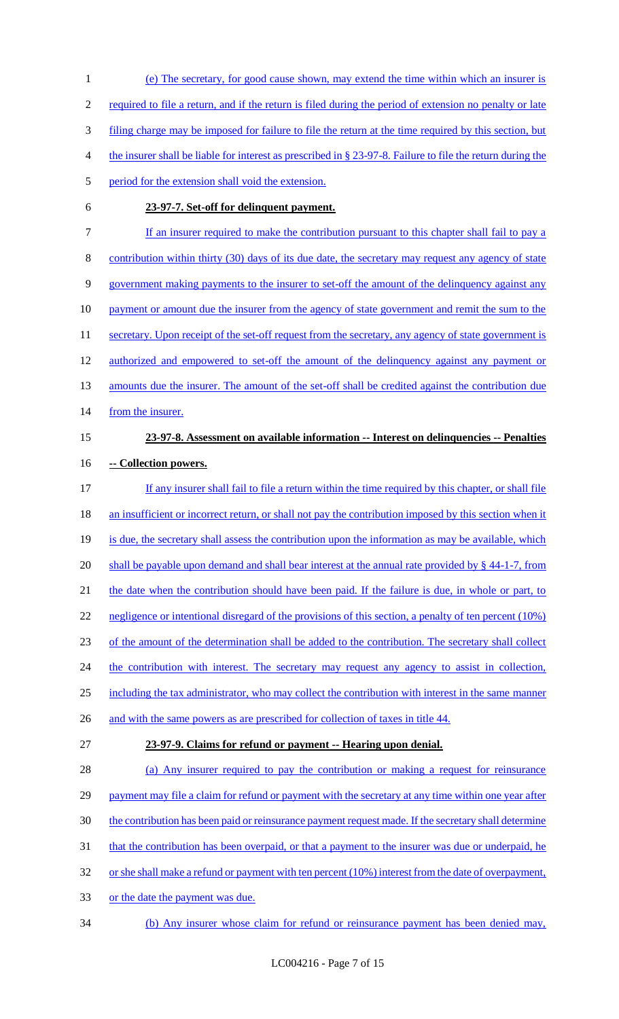1 (e) The secretary, for good cause shown, may extend the time within which an insurer is 2 required to file a return, and if the return is filed during the period of extension no penalty or late 3 filing charge may be imposed for failure to file the return at the time required by this section, but 4 the insurer shall be liable for interest as prescribed in § 23-97-8. Failure to file the return during the 5 period for the extension shall void the extension. 6 **23-97-7. Set-off for delinquent payment.**  7 If an insurer required to make the contribution pursuant to this chapter shall fail to pay a 8 contribution within thirty (30) days of its due date, the secretary may request any agency of state 9 government making payments to the insurer to set-off the amount of the delinquency against any 10 payment or amount due the insurer from the agency of state government and remit the sum to the 11 secretary. Upon receipt of the set-off request from the secretary, any agency of state government is 12 authorized and empowered to set-off the amount of the delinquency against any payment or 13 amounts due the insurer. The amount of the set-off shall be credited against the contribution due 14 from the insurer. 15 **23-97-8. Assessment on available information -- Interest on delinquencies -- Penalties**  16 **-- Collection powers.**  17 If any insurer shall fail to file a return within the time required by this chapter, or shall file 18 an insufficient or incorrect return, or shall not pay the contribution imposed by this section when it 19 is due, the secretary shall assess the contribution upon the information as may be available, which 20 shall be payable upon demand and shall bear interest at the annual rate provided by § 44-1-7, from 21 the date when the contribution should have been paid. If the failure is due, in whole or part, to 22 negligence or intentional disregard of the provisions of this section, a penalty of ten percent (10%) 23 of the amount of the determination shall be added to the contribution. The secretary shall collect 24 the contribution with interest. The secretary may request any agency to assist in collection, 25 including the tax administrator, who may collect the contribution with interest in the same manner 26 and with the same powers as are prescribed for collection of taxes in title 44. 27 **23-97-9. Claims for refund or payment -- Hearing upon denial.**  28 (a) Any insurer required to pay the contribution or making a request for reinsurance 29 payment may file a claim for refund or payment with the secretary at any time within one year after 30 the contribution has been paid or reinsurance payment request made. If the secretary shall determine 31 that the contribution has been overpaid, or that a payment to the insurer was due or underpaid, he 32 or she shall make a refund or payment with ten percent (10%) interest from the date of overpayment, 33 or the date the payment was due. 34 (b) Any insurer whose claim for refund or reinsurance payment has been denied may,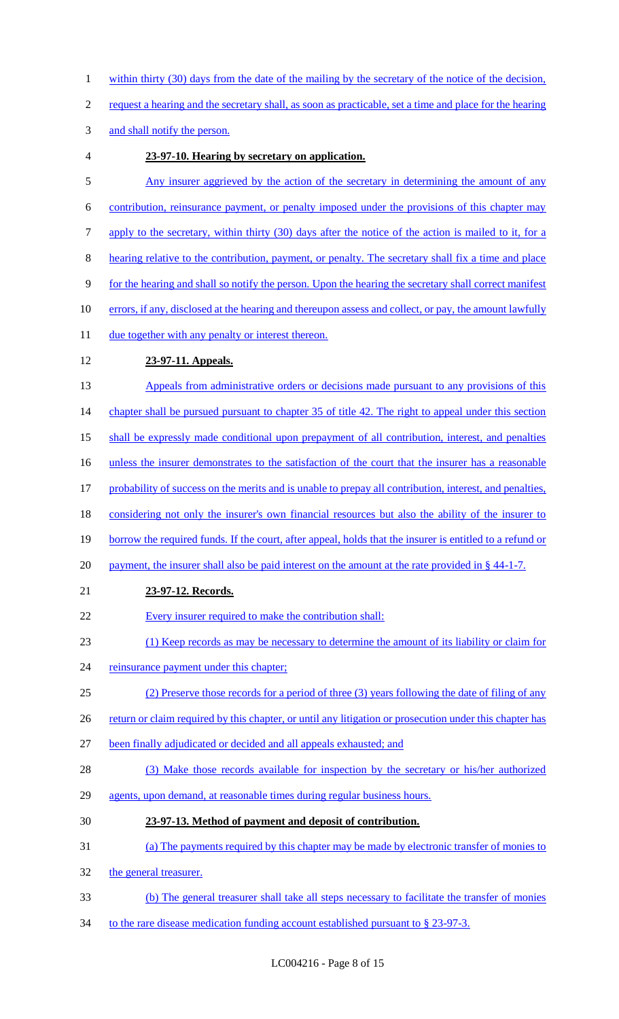- 1 within thirty (30) days from the date of the mailing by the secretary of the notice of the decision,
- 2 request a hearing and the secretary shall, as soon as practicable, set a time and place for the hearing

3 and shall notify the person.

- 4 **23-97-10. Hearing by secretary on application.**
- 5 Any insurer aggrieved by the action of the secretary in determining the amount of any 6 contribution, reinsurance payment, or penalty imposed under the provisions of this chapter may 7 apply to the secretary, within thirty (30) days after the notice of the action is mailed to it, for a 8 hearing relative to the contribution, payment, or penalty. The secretary shall fix a time and place 9 for the hearing and shall so notify the person. Upon the hearing the secretary shall correct manifest 10 errors, if any, disclosed at the hearing and thereupon assess and collect, or pay, the amount lawfully 11 due together with any penalty or interest thereon. 12 **23-97-11. Appeals.**  13 Appeals from administrative orders or decisions made pursuant to any provisions of this 14 chapter shall be pursued pursuant to chapter 35 of title 42. The right to appeal under this section 15 shall be expressly made conditional upon prepayment of all contribution, interest, and penalties 16 unless the insurer demonstrates to the satisfaction of the court that the insurer has a reasonable 17 probability of success on the merits and is unable to prepay all contribution, interest, and penalties, 18 considering not only the insurer's own financial resources but also the ability of the insurer to 19 borrow the required funds. If the court, after appeal, holds that the insurer is entitled to a refund or 20 payment, the insurer shall also be paid interest on the amount at the rate provided in § 44-1-7. 21 **23-97-12. Records.**  22 Every insurer required to make the contribution shall: 23 (1) Keep records as may be necessary to determine the amount of its liability or claim for 24 reinsurance payment under this chapter; 25 (2) Preserve those records for a period of three (3) years following the date of filing of any 26 return or claim required by this chapter, or until any litigation or prosecution under this chapter has 27 been finally adjudicated or decided and all appeals exhausted; and 28 (3) Make those records available for inspection by the secretary or his/her authorized 29 agents, upon demand, at reasonable times during regular business hours. 30 **23-97-13. Method of payment and deposit of contribution.**  31 (a) The payments required by this chapter may be made by electronic transfer of monies to 32 the general treasurer. 33 (b) The general treasurer shall take all steps necessary to facilitate the transfer of monies
- 34 to the rare disease medication funding account established pursuant to § 23-97-3.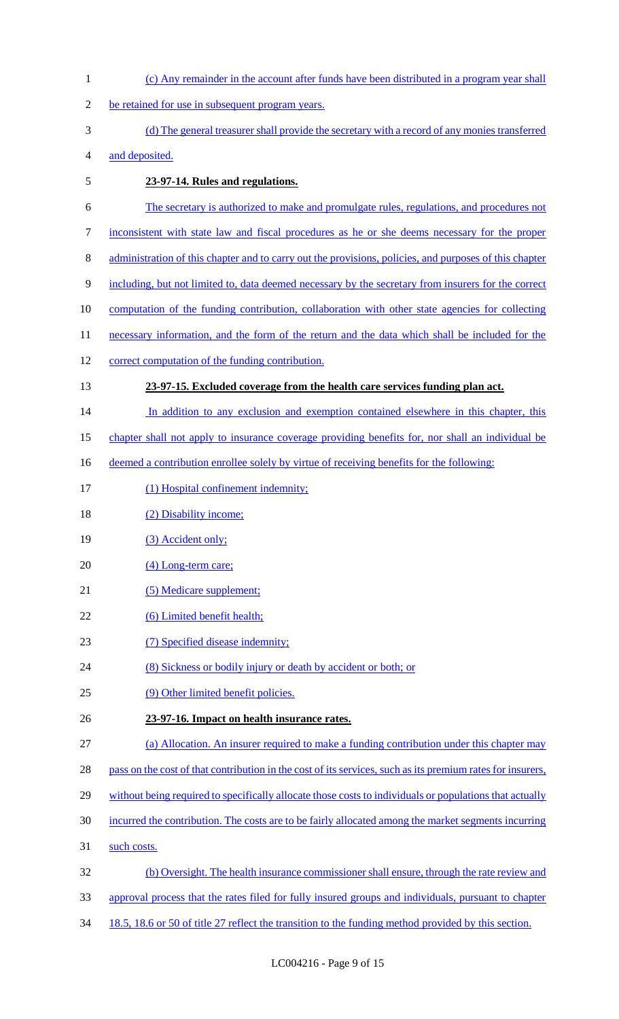(c) Any remainder in the account after funds have been distributed in a program year shall be retained for use in subsequent program years. (d) The general treasurer shall provide the secretary with a record of any monies transferred and deposited. **23-97-14. Rules and regulations.**  The secretary is authorized to make and promulgate rules, regulations, and procedures not inconsistent with state law and fiscal procedures as he or she deems necessary for the proper administration of this chapter and to carry out the provisions, policies, and purposes of this chapter including, but not limited to, data deemed necessary by the secretary from insurers for the correct computation of the funding contribution, collaboration with other state agencies for collecting 11 necessary information, and the form of the return and the data which shall be included for the correct computation of the funding contribution. **23-97-15. Excluded coverage from the health care services funding plan act.**  14 In addition to any exclusion and exemption contained elsewhere in this chapter, this chapter shall not apply to insurance coverage providing benefits for, nor shall an individual be 16 deemed a contribution enrollee solely by virtue of receiving benefits for the following: 17 (1) Hospital confinement indemnity; 18 (2) Disability income; 19 (3) Accident only; 20 (4) Long-term care; 21 (5) Medicare supplement; 22 (6) Limited benefit health; 23 (7) Specified disease indemnity; (8) Sickness or bodily injury or death by accident or both; or (9) Other limited benefit policies. **23-97-16. Impact on health insurance rates.**  (a) Allocation. An insurer required to make a funding contribution under this chapter may 28 pass on the cost of that contribution in the cost of its services, such as its premium rates for insurers, 29 without being required to specifically allocate those costs to individuals or populations that actually incurred the contribution. The costs are to be fairly allocated among the market segments incurring such costs. (b) Oversight. The health insurance commissioner shall ensure, through the rate review and approval process that the rates filed for fully insured groups and individuals, pursuant to chapter 34 18.5, 18.6 or 50 of title 27 reflect the transition to the funding method provided by this section.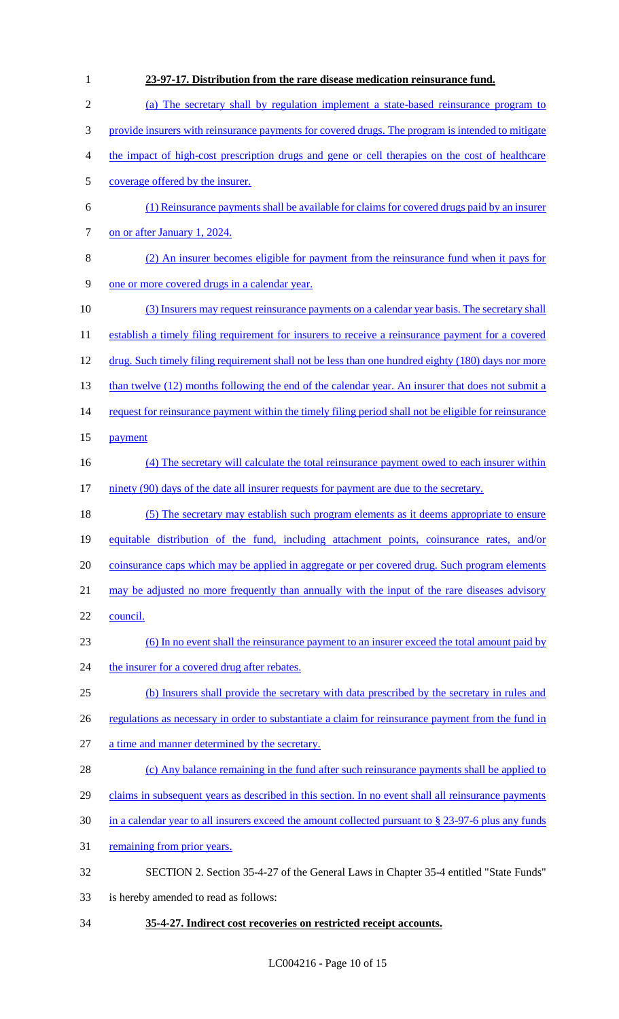| 1              | 23-97-17. Distribution from the rare disease medication reinsurance fund.                              |
|----------------|--------------------------------------------------------------------------------------------------------|
| $\overline{2}$ | (a) The secretary shall by regulation implement a state-based reinsurance program to                   |
| 3              | provide insurers with reinsurance payments for covered drugs. The program is intended to mitigate      |
| 4              | the impact of high-cost prescription drugs and gene or cell therapies on the cost of healthcare        |
| 5              | coverage offered by the insurer.                                                                       |
| 6              | (1) Reinsurance payments shall be available for claims for covered drugs paid by an insurer            |
| 7              | on or after January 1, 2024.                                                                           |
| 8              | (2) An insurer becomes eligible for payment from the reinsurance fund when it pays for                 |
| 9              | one or more covered drugs in a calendar year.                                                          |
| 10             | (3) Insurers may request reinsurance payments on a calendar year basis. The secretary shall            |
| 11             | establish a timely filing requirement for insurers to receive a reinsurance payment for a covered      |
| 12             | drug. Such timely filing requirement shall not be less than one hundred eighty (180) days nor more     |
| 13             | than twelve (12) months following the end of the calendar year. An insurer that does not submit a      |
| 14             | request for reinsurance payment within the timely filing period shall not be eligible for reinsurance  |
| 15             | payment                                                                                                |
| 16             | (4) The secretary will calculate the total reinsurance payment owed to each insurer within             |
| 17             | ninety (90) days of the date all insurer requests for payment are due to the secretary.                |
| 18             | (5) The secretary may establish such program elements as it deems appropriate to ensure                |
| 19             | equitable distribution of the fund, including attachment points, coinsurance rates, and/or             |
| 20             | coinsurance caps which may be applied in aggregate or per covered drug. Such program elements          |
| 21             | may be adjusted no more frequently than annually with the input of the rare diseases advisory          |
| 22             | council.                                                                                               |
| 23             | (6) In no event shall the reinsurance payment to an insurer exceed the total amount paid by            |
| 24             | the insurer for a covered drug after rebates.                                                          |
| 25             | (b) Insurers shall provide the secretary with data prescribed by the secretary in rules and            |
| 26             | regulations as necessary in order to substantiate a claim for reinsurance payment from the fund in     |
| 27             | a time and manner determined by the secretary.                                                         |
| 28             | (c) Any balance remaining in the fund after such reinsurance payments shall be applied to              |
| 29             | claims in subsequent years as described in this section. In no event shall all reinsurance payments    |
| 30             | in a calendar year to all insurers exceed the amount collected pursuant to $\S$ 23-97-6 plus any funds |
| 31             | remaining from prior years.                                                                            |
| 32             | SECTION 2. Section 35-4-27 of the General Laws in Chapter 35-4 entitled "State Funds"                  |
| 33             | is hereby amended to read as follows:                                                                  |
|                |                                                                                                        |

34 **35-4-27. Indirect cost recoveries on restricted receipt accounts.**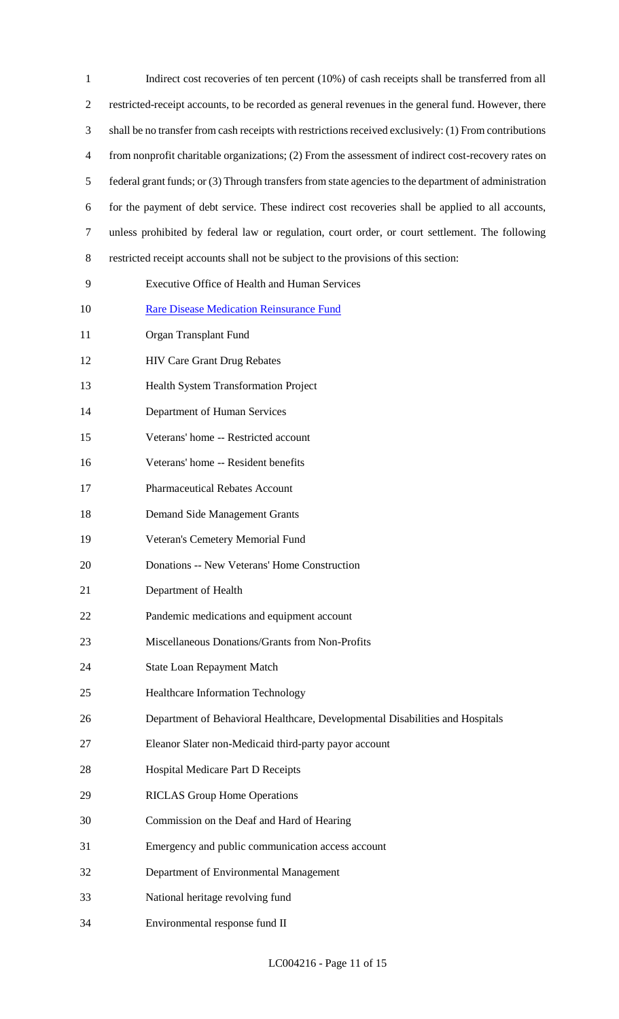| $\mathbf{1}$   | Indirect cost recoveries of ten percent (10%) of cash receipts shall be transferred from all           |
|----------------|--------------------------------------------------------------------------------------------------------|
| $\overline{2}$ | restricted-receipt accounts, to be recorded as general revenues in the general fund. However, there    |
| 3              | shall be no transfer from cash receipts with restrictions received exclusively: (1) From contributions |
| $\overline{4}$ | from nonprofit charitable organizations; (2) From the assessment of indirect cost-recovery rates on    |
| 5              | federal grant funds; or (3) Through transfers from state agencies to the department of administration  |
| 6              | for the payment of debt service. These indirect cost recoveries shall be applied to all accounts,      |
| $\tau$         | unless prohibited by federal law or regulation, court order, or court settlement. The following        |
| 8              | restricted receipt accounts shall not be subject to the provisions of this section:                    |
| 9              | Executive Office of Health and Human Services                                                          |
| 10             | <b>Rare Disease Medication Reinsurance Fund</b>                                                        |
| 11             | Organ Transplant Fund                                                                                  |
| 12             | <b>HIV Care Grant Drug Rebates</b>                                                                     |
| 13             | <b>Health System Transformation Project</b>                                                            |
| 14             | Department of Human Services                                                                           |
| 15             | Veterans' home -- Restricted account                                                                   |
| 16             | Veterans' home -- Resident benefits                                                                    |
| 17             | <b>Pharmaceutical Rebates Account</b>                                                                  |
| 18             | <b>Demand Side Management Grants</b>                                                                   |
| 19             | Veteran's Cemetery Memorial Fund                                                                       |
| 20             | Donations -- New Veterans' Home Construction                                                           |
| 21             | Department of Health                                                                                   |
| 22             | Pandemic medications and equipment account                                                             |
| 23             | Miscellaneous Donations/Grants from Non-Profits                                                        |
| 24             | <b>State Loan Repayment Match</b>                                                                      |
| 25             | Healthcare Information Technology                                                                      |
| 26             | Department of Behavioral Healthcare, Developmental Disabilities and Hospitals                          |
| 27             | Eleanor Slater non-Medicaid third-party payor account                                                  |
| 28             | Hospital Medicare Part D Receipts                                                                      |
| 29             | <b>RICLAS Group Home Operations</b>                                                                    |
| 30             | Commission on the Deaf and Hard of Hearing                                                             |
| 31             | Emergency and public communication access account                                                      |
| 32             | Department of Environmental Management                                                                 |
| 33             | National heritage revolving fund                                                                       |
| 34             | Environmental response fund II                                                                         |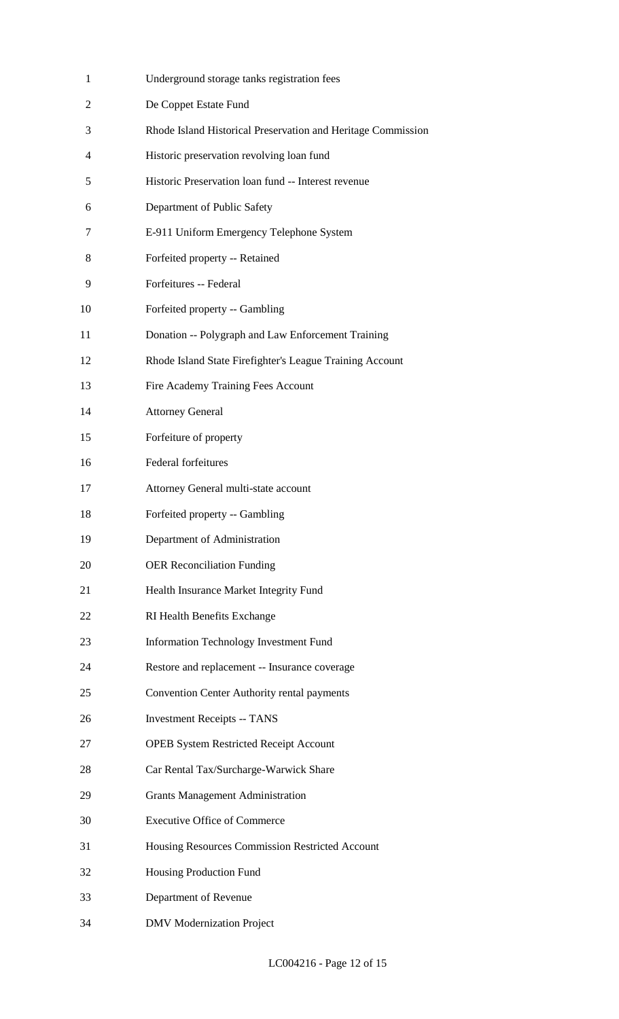| $\mathbf{1}$   | Underground storage tanks registration fees                  |
|----------------|--------------------------------------------------------------|
| $\overline{2}$ | De Coppet Estate Fund                                        |
| 3              | Rhode Island Historical Preservation and Heritage Commission |
| 4              | Historic preservation revolving loan fund                    |
| 5              | Historic Preservation loan fund -- Interest revenue          |
| 6              | Department of Public Safety                                  |
| 7              | E-911 Uniform Emergency Telephone System                     |
| 8              | Forfeited property -- Retained                               |
| 9              | Forfeitures -- Federal                                       |
| 10             | Forfeited property -- Gambling                               |
| 11             | Donation -- Polygraph and Law Enforcement Training           |
| 12             | Rhode Island State Firefighter's League Training Account     |
| 13             | Fire Academy Training Fees Account                           |
| 14             | <b>Attorney General</b>                                      |
| 15             | Forfeiture of property                                       |
| 16             | <b>Federal forfeitures</b>                                   |
| 17             | Attorney General multi-state account                         |
| 18             | Forfeited property -- Gambling                               |
| 19             | Department of Administration                                 |
| 20             | <b>OER Reconciliation Funding</b>                            |
| 21             | Health Insurance Market Integrity Fund                       |
| 22             | RI Health Benefits Exchange                                  |
| 23             | <b>Information Technology Investment Fund</b>                |
| 24             | Restore and replacement -- Insurance coverage                |
| 25             | Convention Center Authority rental payments                  |
| 26             | <b>Investment Receipts -- TANS</b>                           |
| 27             | <b>OPEB System Restricted Receipt Account</b>                |
| 28             | Car Rental Tax/Surcharge-Warwick Share                       |
| 29             | <b>Grants Management Administration</b>                      |
| 30             | <b>Executive Office of Commerce</b>                          |
| 31             | Housing Resources Commission Restricted Account              |
| 32             | Housing Production Fund                                      |
| 33             | Department of Revenue                                        |
| 34             | <b>DMV</b> Modernization Project                             |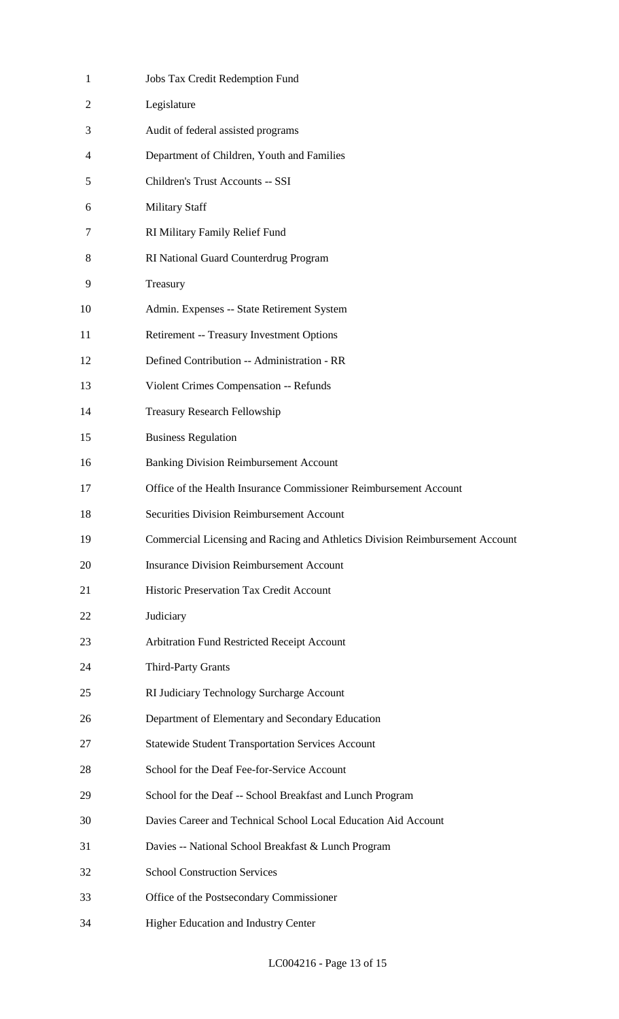| $\mathbf{1}$   | Jobs Tax Credit Redemption Fund                                              |
|----------------|------------------------------------------------------------------------------|
| 2              | Legislature                                                                  |
| 3              | Audit of federal assisted programs                                           |
| $\overline{4}$ | Department of Children, Youth and Families                                   |
| 5              | Children's Trust Accounts -- SSI                                             |
| 6              | <b>Military Staff</b>                                                        |
| 7              | RI Military Family Relief Fund                                               |
| 8              | RI National Guard Counterdrug Program                                        |
| 9              | Treasury                                                                     |
| 10             | Admin. Expenses -- State Retirement System                                   |
| 11             | Retirement -- Treasury Investment Options                                    |
| 12             | Defined Contribution -- Administration - RR                                  |
| 13             | Violent Crimes Compensation -- Refunds                                       |
| 14             | <b>Treasury Research Fellowship</b>                                          |
| 15             | <b>Business Regulation</b>                                                   |
| 16             | <b>Banking Division Reimbursement Account</b>                                |
| 17             | Office of the Health Insurance Commissioner Reimbursement Account            |
| 18             | <b>Securities Division Reimbursement Account</b>                             |
| 19             | Commercial Licensing and Racing and Athletics Division Reimbursement Account |
| 20             | <b>Insurance Division Reimbursement Account</b>                              |
| 21             | Historic Preservation Tax Credit Account                                     |
| 22             | Judiciary                                                                    |
| 23             | Arbitration Fund Restricted Receipt Account                                  |
| 24             | Third-Party Grants                                                           |
| 25             | RI Judiciary Technology Surcharge Account                                    |
| 26             | Department of Elementary and Secondary Education                             |
| 27             | <b>Statewide Student Transportation Services Account</b>                     |
| 28             | School for the Deaf Fee-for-Service Account                                  |
| 29             | School for the Deaf -- School Breakfast and Lunch Program                    |
| 30             | Davies Career and Technical School Local Education Aid Account               |
| 31             | Davies -- National School Breakfast & Lunch Program                          |
| 32             | <b>School Construction Services</b>                                          |
| 33             | Office of the Postsecondary Commissioner                                     |
| 34             | Higher Education and Industry Center                                         |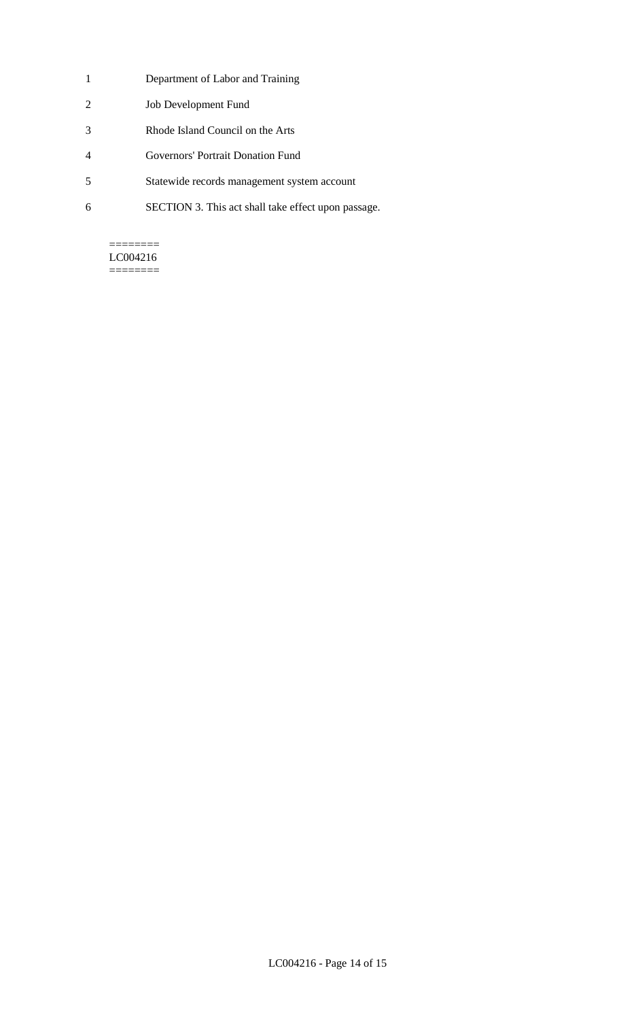- 1 Department of Labor and Training
- 2 Job Development Fund
- 3 Rhode Island Council on the Arts
- 4 Governors' Portrait Donation Fund
- 5 Statewide records management system account
- 6 SECTION 3. This act shall take effect upon passage.

#### ======== LC004216

========